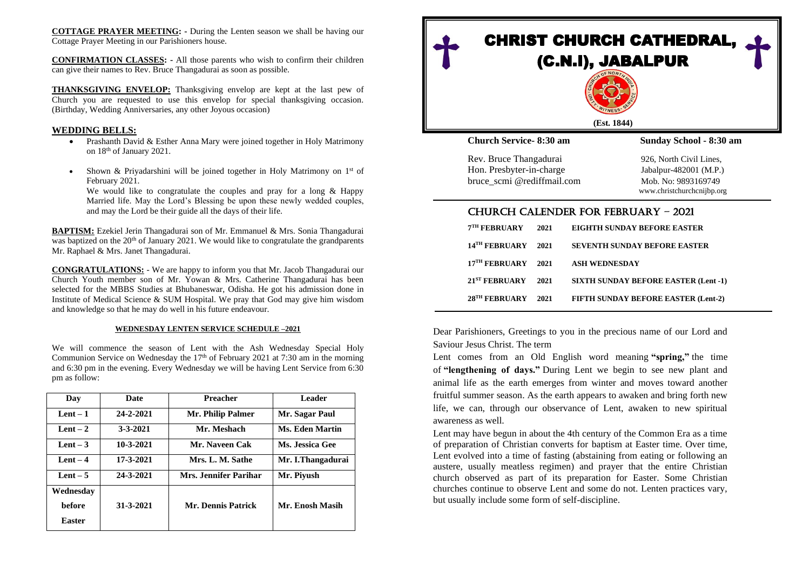**COTTAGE PRAYER MEETING: -** During the Lenten season we shall be having our Cottage Prayer Meeting in our Parishioners house.

**CONFIRMATION CLASSES: -** All those parents who wish to confirm their children can give their names to Rev. Bruce Thangadurai as soon as possible.

**THANKSGIVING ENVELOP:** Thanksgiving envelop are kept at the last pew of Church you are requested to use this envelop for special thanksgiving occasion. (Birthday, Wedding Anniversaries, any other Joyous occasion)

#### **WEDDING BELLS:**

- Prashanth David & Esther Anna Mary were joined together in Holy Matrimony on 18th of January 2021.
- Shown & Priyadarshini will be joined together in Holy Matrimony on 1<sup>st</sup> of February 2021.

We would like to congratulate the couples and pray for a long & Happy Married life. May the Lord's Blessing be upon these newly wedded couples, and may the Lord be their guide all the days of their life.

**BAPTISM:** Ezekiel Jerin Thangadurai son of Mr. Emmanuel & Mrs. Sonia Thangadurai was baptized on the  $20<sup>th</sup>$  of January 2021. We would like to congratulate the grandparents Mr. Raphael & Mrs. Janet Thangadurai.

**CONGRATULATIONS:** - We are happy to inform you that Mr. Jacob Thangadurai our Church Youth member son of Mr. Yowan & Mrs. Catherine Thangadurai has been selected for the MBBS Studies at Bhubaneswar, Odisha. He got his admission done in Institute of Medical Science & SUM Hospital. We pray that God may give him wisdom and knowledge so that he may do well in his future endeavour.

#### **WEDNESDAY LENTEN SERVICE SCHEDULE –2021**

We will commence the season of Lent with the Ash Wednesday Special Holy Communion Service on Wednesday the  $17<sup>th</sup>$  of February 2021 at 7:30 am in the morning and 6:30 pm in the evening. Every Wednesday we will be having Lent Service from 6:30 pm as follow:

| Day           | Date            | <b>Preacher</b>       | <b>Leader</b>          |
|---------------|-----------------|-----------------------|------------------------|
| $Lent - 1$    | 24-2-2021       | Mr. Philip Palmer     | Mr. Sagar Paul         |
| Lent $-2$     | $3 - 3 - 2021$  | Mr. Meshach           | <b>Ms. Eden Martin</b> |
| Lent $-3$     | $10 - 3 - 2021$ | Mr. Naveen Cak        | Ms. Jessica Gee        |
| Lent $-4$     | $17 - 3 - 2021$ | Mrs. L. M. Sathe      | Mr. I.Thangadurai      |
| Lent $-5$     | 24-3-2021       | Mrs. Jennifer Parihar | Mr. Pivush             |
| Wednesdav     |                 |                       |                        |
| <b>before</b> | $31 - 3 - 2021$ | Mr. Dennis Patrick    | Mr. Enosh Masih        |
| Easter        |                 |                       |                        |



| 7 <sup>TH</sup> FEBRUARY  | 2021 | EIGHTH SUNDAY BEFORE EASTER                 |
|---------------------------|------|---------------------------------------------|
| 14 <sup>TH</sup> FEBRUARY | 2021 | <b>SEVENTH SUNDAY BEFORE EASTER</b>         |
| 17 <sup>TH</sup> FEBRUARY | 2021 | <b>ASH WEDNESDAY</b>                        |
| 21 <sup>ST</sup> FEBRUARY | 2021 | <b>SIXTH SUNDAY BEFORE EASTER (Lent -1)</b> |
| 28 <sup>TH</sup> FEBRUARY | 2021 | FIFTH SUNDAY BEFORE EASTER (Lent-2)         |

Dear Parishioners, Greetings to you in the precious name of our Lord and Saviour Jesus Christ. The term

Lent comes from an Old English word meaning **"spring,"** the time of **"lengthening of days."** During Lent we begin to see new plant and animal life as the earth emerges from winter and moves toward another fruitful summer season. As the earth appears to awaken and bring forth new life, we can, through our observance of Lent, awaken to new spiritual awareness as well.

Lent may have begun in about the 4th century of the Common Era as a time of preparation of Christian converts for baptism at Easter time. Over time, Lent evolved into a time of fasting (abstaining from eating or following an austere, usually meatless regimen) and prayer that the entire Christian church observed as part of its preparation for Easter. Some Christian churches continue to observe Lent and some do not. Lenten practices vary, but usually include some form of self-discipline.